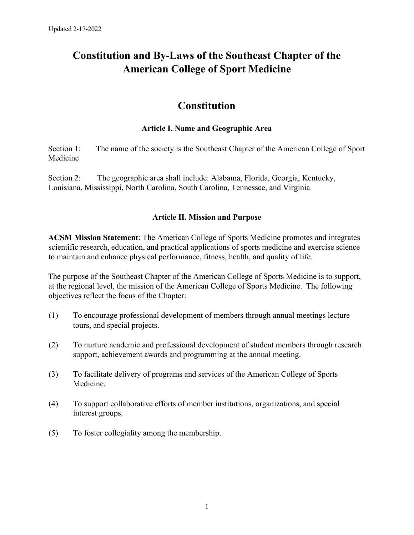# **Constitution and By-Laws of the Southeast Chapter of the American College of Sport Medicine**

# **Constitution**

### **Article I. Name and Geographic Area**

Section 1: The name of the society is the Southeast Chapter of the American College of Sport Medicine

Section 2: The geographic area shall include: Alabama, Florida, Georgia, Kentucky, Louisiana, Mississippi, North Carolina, South Carolina, Tennessee, and Virginia

#### **Article II. Mission and Purpose**

**ACSM Mission Statement**: The American College of Sports Medicine promotes and integrates scientific research, education, and practical applications of sports medicine and exercise science to maintain and enhance physical performance, fitness, health, and quality of life.

The purpose of the Southeast Chapter of the American College of Sports Medicine is to support, at the regional level, the mission of the American College of Sports Medicine. The following objectives reflect the focus of the Chapter:

- (1) To encourage professional development of members through annual meetings lecture tours, and special projects.
- (2) To nurture academic and professional development of student members through research support, achievement awards and programming at the annual meeting.
- (3) To facilitate delivery of programs and services of the American College of Sports Medicine.
- (4) To support collaborative efforts of member institutions, organizations, and special interest groups.
- (5) To foster collegiality among the membership.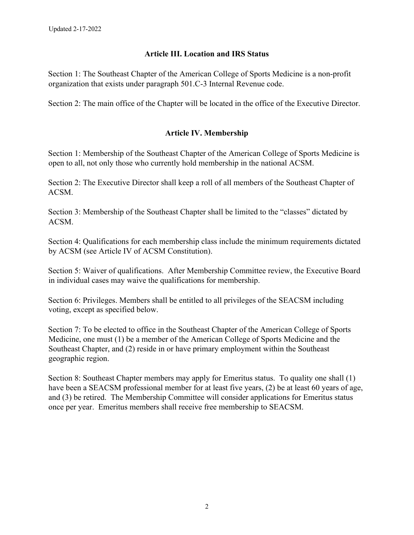## **Article III. Location and IRS Status**

Section 1: The Southeast Chapter of the American College of Sports Medicine is a non-profit organization that exists under paragraph 501.C-3 Internal Revenue code.

Section 2: The main office of the Chapter will be located in the office of the Executive Director.

# **Article IV. Membership**

Section 1: Membership of the Southeast Chapter of the American College of Sports Medicine is open to all, not only those who currently hold membership in the national ACSM.

Section 2: The Executive Director shall keep a roll of all members of the Southeast Chapter of ACSM.

Section 3: Membership of the Southeast Chapter shall be limited to the "classes" dictated by ACSM.

Section 4: Qualifications for each membership class include the minimum requirements dictated by ACSM (see Article IV of ACSM Constitution).

Section 5: Waiver of qualifications. After Membership Committee review, the Executive Board in individual cases may waive the qualifications for membership.

Section 6: Privileges. Members shall be entitled to all privileges of the SEACSM including voting, except as specified below.

Section 7: To be elected to office in the Southeast Chapter of the American College of Sports Medicine, one must (1) be a member of the American College of Sports Medicine and the Southeast Chapter, and (2) reside in or have primary employment within the Southeast geographic region.

Section 8: Southeast Chapter members may apply for Emeritus status. To quality one shall (1) have been a SEACSM professional member for at least five years, (2) be at least 60 years of age, and (3) be retired. The Membership Committee will consider applications for Emeritus status once per year. Emeritus members shall receive free membership to SEACSM.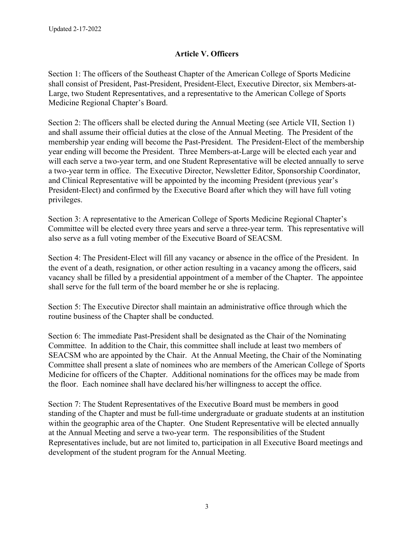# **Article V. Officers**

Section 1: The officers of the Southeast Chapter of the American College of Sports Medicine shall consist of President, Past-President, President-Elect, Executive Director, six Members-at-Large, two Student Representatives, and a representative to the American College of Sports Medicine Regional Chapter's Board.

Section 2: The officers shall be elected during the Annual Meeting (see Article VII, Section 1) and shall assume their official duties at the close of the Annual Meeting. The President of the membership year ending will become the Past-President. The President-Elect of the membership year ending will become the President. Three Members-at-Large will be elected each year and will each serve a two-year term, and one Student Representative will be elected annually to serve a two-year term in office. The Executive Director, Newsletter Editor, Sponsorship Coordinator, and Clinical Representative will be appointed by the incoming President (previous year's President-Elect) and confirmed by the Executive Board after which they will have full voting privileges.

Section 3: A representative to the American College of Sports Medicine Regional Chapter's Committee will be elected every three years and serve a three-year term. This representative will also serve as a full voting member of the Executive Board of SEACSM.

Section 4: The President-Elect will fill any vacancy or absence in the office of the President. In the event of a death, resignation, or other action resulting in a vacancy among the officers, said vacancy shall be filled by a presidential appointment of a member of the Chapter. The appointee shall serve for the full term of the board member he or she is replacing.

Section 5: The Executive Director shall maintain an administrative office through which the routine business of the Chapter shall be conducted.

Section 6: The immediate Past-President shall be designated as the Chair of the Nominating Committee. In addition to the Chair, this committee shall include at least two members of SEACSM who are appointed by the Chair. At the Annual Meeting, the Chair of the Nominating Committee shall present a slate of nominees who are members of the American College of Sports Medicine for officers of the Chapter. Additional nominations for the offices may be made from the floor. Each nominee shall have declared his/her willingness to accept the office.

Section 7: The Student Representatives of the Executive Board must be members in good standing of the Chapter and must be full-time undergraduate or graduate students at an institution within the geographic area of the Chapter. One Student Representative will be elected annually at the Annual Meeting and serve a two-year term. The responsibilities of the Student Representatives include, but are not limited to, participation in all Executive Board meetings and development of the student program for the Annual Meeting.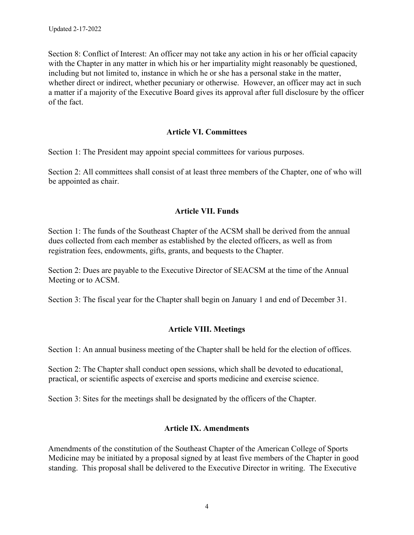Section 8: Conflict of Interest: An officer may not take any action in his or her official capacity with the Chapter in any matter in which his or her impartiality might reasonably be questioned, including but not limited to, instance in which he or she has a personal stake in the matter, whether direct or indirect, whether pecuniary or otherwise. However, an officer may act in such a matter if a majority of the Executive Board gives its approval after full disclosure by the officer of the fact.

#### **Article VI. Committees**

Section 1: The President may appoint special committees for various purposes.

Section 2: All committees shall consist of at least three members of the Chapter, one of who will be appointed as chair.

#### **Article VII. Funds**

Section 1: The funds of the Southeast Chapter of the ACSM shall be derived from the annual dues collected from each member as established by the elected officers, as well as from registration fees, endowments, gifts, grants, and bequests to the Chapter.

Section 2: Dues are payable to the Executive Director of SEACSM at the time of the Annual Meeting or to ACSM.

Section 3: The fiscal year for the Chapter shall begin on January 1 and end of December 31.

# **Article VIII. Meetings**

Section 1: An annual business meeting of the Chapter shall be held for the election of offices.

Section 2: The Chapter shall conduct open sessions, which shall be devoted to educational, practical, or scientific aspects of exercise and sports medicine and exercise science.

Section 3: Sites for the meetings shall be designated by the officers of the Chapter.

#### **Article IX. Amendments**

Amendments of the constitution of the Southeast Chapter of the American College of Sports Medicine may be initiated by a proposal signed by at least five members of the Chapter in good standing. This proposal shall be delivered to the Executive Director in writing. The Executive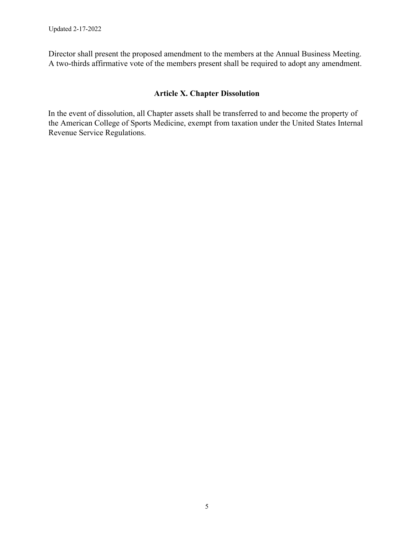Director shall present the proposed amendment to the members at the Annual Business Meeting. A two-thirds affirmative vote of the members present shall be required to adopt any amendment.

# **Article X. Chapter Dissolution**

In the event of dissolution, all Chapter assets shall be transferred to and become the property of the American College of Sports Medicine, exempt from taxation under the United States Internal Revenue Service Regulations.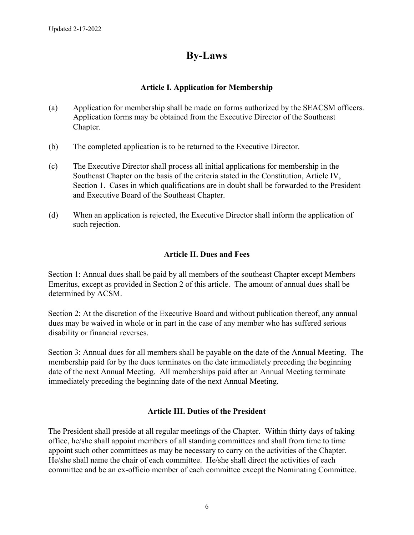# **By-Laws**

# **Article I. Application for Membership**

- (a) Application for membership shall be made on forms authorized by the SEACSM officers. Application forms may be obtained from the Executive Director of the Southeast Chapter.
- (b) The completed application is to be returned to the Executive Director.
- (c) The Executive Director shall process all initial applications for membership in the Southeast Chapter on the basis of the criteria stated in the Constitution, Article IV, Section 1. Cases in which qualifications are in doubt shall be forwarded to the President and Executive Board of the Southeast Chapter.
- (d) When an application is rejected, the Executive Director shall inform the application of such rejection.

# **Article II. Dues and Fees**

Section 1: Annual dues shall be paid by all members of the southeast Chapter except Members Emeritus, except as provided in Section 2 of this article. The amount of annual dues shall be determined by ACSM.

Section 2: At the discretion of the Executive Board and without publication thereof, any annual dues may be waived in whole or in part in the case of any member who has suffered serious disability or financial reverses.

Section 3: Annual dues for all members shall be payable on the date of the Annual Meeting. The membership paid for by the dues terminates on the date immediately preceding the beginning date of the next Annual Meeting. All memberships paid after an Annual Meeting terminate immediately preceding the beginning date of the next Annual Meeting.

# **Article III. Duties of the President**

The President shall preside at all regular meetings of the Chapter. Within thirty days of taking office, he/she shall appoint members of all standing committees and shall from time to time appoint such other committees as may be necessary to carry on the activities of the Chapter. He/she shall name the chair of each committee. He/she shall direct the activities of each committee and be an ex-officio member of each committee except the Nominating Committee.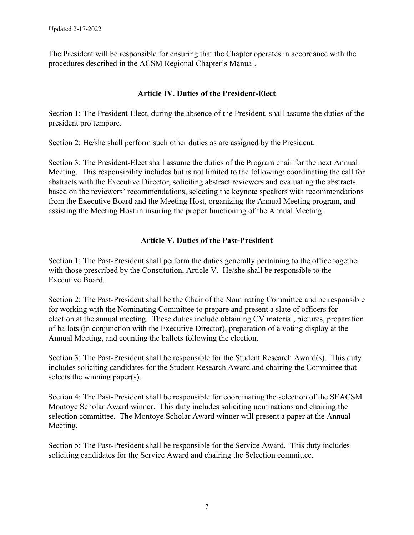The President will be responsible for ensuring that the Chapter operates in accordance with the procedures described in the ACSM Regional Chapter's Manual.

# **Article IV. Duties of the President-Elect**

Section 1: The President-Elect, during the absence of the President, shall assume the duties of the president pro tempore.

Section 2: He/she shall perform such other duties as are assigned by the President.

Section 3: The President-Elect shall assume the duties of the Program chair for the next Annual Meeting. This responsibility includes but is not limited to the following: coordinating the call for abstracts with the Executive Director, soliciting abstract reviewers and evaluating the abstracts based on the reviewers' recommendations, selecting the keynote speakers with recommendations from the Executive Board and the Meeting Host, organizing the Annual Meeting program, and assisting the Meeting Host in insuring the proper functioning of the Annual Meeting.

# **Article V. Duties of the Past-President**

Section 1: The Past-President shall perform the duties generally pertaining to the office together with those prescribed by the Constitution, Article V. He/she shall be responsible to the Executive Board.

Section 2: The Past-President shall be the Chair of the Nominating Committee and be responsible for working with the Nominating Committee to prepare and present a slate of officers for election at the annual meeting. These duties include obtaining CV material, pictures, preparation of ballots (in conjunction with the Executive Director), preparation of a voting display at the Annual Meeting, and counting the ballots following the election.

Section 3: The Past-President shall be responsible for the Student Research Award(s). This duty includes soliciting candidates for the Student Research Award and chairing the Committee that selects the winning paper(s).

Section 4: The Past-President shall be responsible for coordinating the selection of the SEACSM Montoye Scholar Award winner. This duty includes soliciting nominations and chairing the selection committee. The Montoye Scholar Award winner will present a paper at the Annual Meeting.

Section 5: The Past-President shall be responsible for the Service Award. This duty includes soliciting candidates for the Service Award and chairing the Selection committee.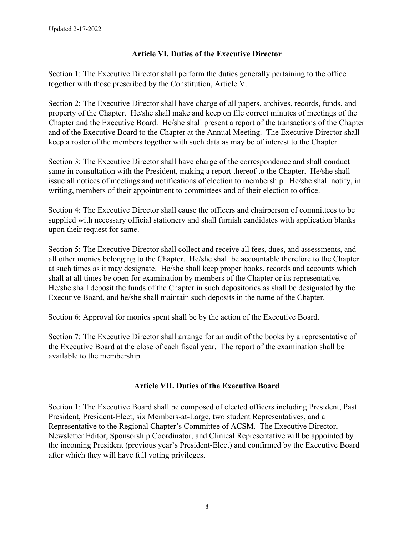# **Article VI. Duties of the Executive Director**

Section 1: The Executive Director shall perform the duties generally pertaining to the office together with those prescribed by the Constitution, Article V.

Section 2: The Executive Director shall have charge of all papers, archives, records, funds, and property of the Chapter. He/she shall make and keep on file correct minutes of meetings of the Chapter and the Executive Board. He/she shall present a report of the transactions of the Chapter and of the Executive Board to the Chapter at the Annual Meeting. The Executive Director shall keep a roster of the members together with such data as may be of interest to the Chapter.

Section 3: The Executive Director shall have charge of the correspondence and shall conduct same in consultation with the President, making a report thereof to the Chapter. He/she shall issue all notices of meetings and notifications of election to membership. He/she shall notify, in writing, members of their appointment to committees and of their election to office.

Section 4: The Executive Director shall cause the officers and chairperson of committees to be supplied with necessary official stationery and shall furnish candidates with application blanks upon their request for same.

Section 5: The Executive Director shall collect and receive all fees, dues, and assessments, and all other monies belonging to the Chapter. He/she shall be accountable therefore to the Chapter at such times as it may designate. He/she shall keep proper books, records and accounts which shall at all times be open for examination by members of the Chapter or its representative. He/she shall deposit the funds of the Chapter in such depositories as shall be designated by the Executive Board, and he/she shall maintain such deposits in the name of the Chapter.

Section 6: Approval for monies spent shall be by the action of the Executive Board.

Section 7: The Executive Director shall arrange for an audit of the books by a representative of the Executive Board at the close of each fiscal year. The report of the examination shall be available to the membership.

# **Article VII. Duties of the Executive Board**

Section 1: The Executive Board shall be composed of elected officers including President, Past President, President-Elect, six Members-at-Large, two student Representatives, and a Representative to the Regional Chapter's Committee of ACSM. The Executive Director, Newsletter Editor, Sponsorship Coordinator, and Clinical Representative will be appointed by the incoming President (previous year's President-Elect) and confirmed by the Executive Board after which they will have full voting privileges.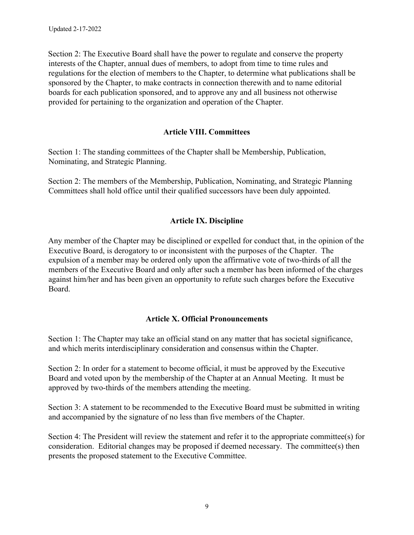Section 2: The Executive Board shall have the power to regulate and conserve the property interests of the Chapter, annual dues of members, to adopt from time to time rules and regulations for the election of members to the Chapter, to determine what publications shall be sponsored by the Chapter, to make contracts in connection therewith and to name editorial boards for each publication sponsored, and to approve any and all business not otherwise provided for pertaining to the organization and operation of the Chapter.

# **Article VIII. Committees**

Section 1: The standing committees of the Chapter shall be Membership, Publication, Nominating, and Strategic Planning.

Section 2: The members of the Membership, Publication, Nominating, and Strategic Planning Committees shall hold office until their qualified successors have been duly appointed.

# **Article IX. Discipline**

Any member of the Chapter may be disciplined or expelled for conduct that, in the opinion of the Executive Board, is derogatory to or inconsistent with the purposes of the Chapter. The expulsion of a member may be ordered only upon the affirmative vote of two-thirds of all the members of the Executive Board and only after such a member has been informed of the charges against him/her and has been given an opportunity to refute such charges before the Executive Board.

# **Article X. Official Pronouncements**

Section 1: The Chapter may take an official stand on any matter that has societal significance, and which merits interdisciplinary consideration and consensus within the Chapter.

Section 2: In order for a statement to become official, it must be approved by the Executive Board and voted upon by the membership of the Chapter at an Annual Meeting. It must be approved by two-thirds of the members attending the meeting.

Section 3: A statement to be recommended to the Executive Board must be submitted in writing and accompanied by the signature of no less than five members of the Chapter.

Section 4: The President will review the statement and refer it to the appropriate committee(s) for consideration. Editorial changes may be proposed if deemed necessary. The committee(s) then presents the proposed statement to the Executive Committee.